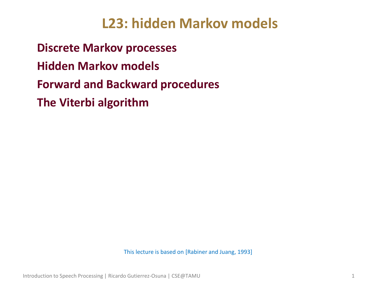# **L23: hidden Markov models**

• **Discrete Markov processes** • **Hidden Markov models** • **Forward and Backward procedures** • **The Viterbi algorithm**

This lecture is based on [Rabiner and Juang, 1993]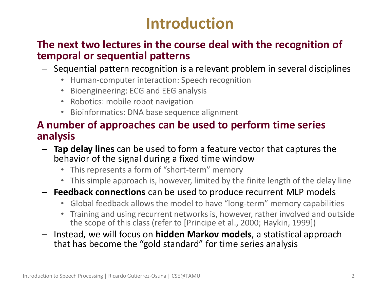# **Introduction**

#### • **The next two lectures in the course deal with the recognition of temporal or sequential patterns**

- Sequential pattern recognition is a relevant problem in several disciplines
	- Human-computer interaction: Speech recognition
	- Bioengineering: ECG and EEG analysis
	- Robotics: mobile robot navigation
	- Bioinformatics: DNA base sequence alignment

### • **A number of approaches can be used to perform time series analysis**

- **Tap delay lines** can be used to form a feature vector that captures the behavior of the signal during a fixed time window
	- This represents a form of "short-term" memory
	- This simple approach is, however, limited by the finite length of the delay line
- **Feedback connections** can be used to produce recurrent MLP models
	- Global feedback allows the model to have "long-term" memory capabilities
	- Training and using recurrent networks is, however, rather involved and outside the scope of this class (refer to [Principe et al., 2000; Haykin, 1999])
- Instead, we will focus on **hidden Markov models**, a statistical approach that has become the "gold standard" for time series analysis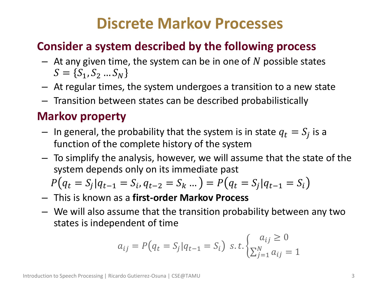# **Discrete Markov Processes**

# • **Consider a system described by the following process**

- $-$  At any given time, the system can be in one of N possible states  $S = \{S_1, S_2 ... S_N\}$
- At regular times, the system undergoes a transition to a new state
- Transition between states can be described probabilistically

# • **Markov property**

- $-$  In general, the probability that the system is in state  $q_t = S_j$  is a function of the complete history of the system
- To simplify the analysis, however, we will assume that the state of the system depends only on its immediate past

$$
P(q_t = S_j | q_{t-1} = S_i, q_{t-2} = S_k \dots ) = P(q_t = S_j | q_{t-1} = S_i)
$$

- This is known as a **first-order Markov Process**
- We will also assume that the transition probability between any two states is independent of time

$$
a_{ij} = P(q_t = S_j | q_{t-1} = S_i) \ s.t. \begin{cases} a_{ij} \ge 0\\ \sum_{j=1}^N a_{ij} = 1 \end{cases}
$$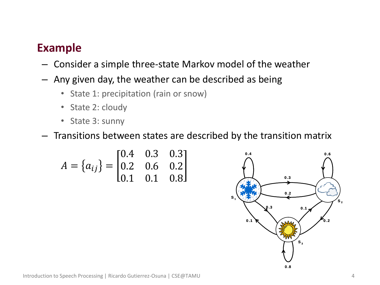### • **Example**

- Consider a simple three-state Markov model of the weather
- Any given day, the weather can be described as being
	- State 1: precipitation (rain or snow)
	- State 2: cloudy
	- State 3: sunny

– Transitions between states are described by the transition matrix

$$
A = \{a_{ij}\} = \begin{bmatrix} 0.4 & 0.3 & 0.3 \\ 0.2 & 0.6 & 0.2 \\ 0.1 & 0.1 & 0.8 \end{bmatrix}
$$

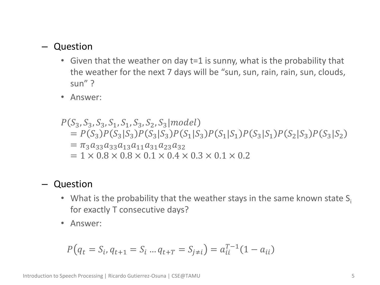#### – Question

- Given that the weather on day t=1 is sunny, what is the probability that the weather for the next 7 days will be "sun, sun, rain, rain, sun, clouds, sun" ?
- Answer:

#### $P(S_3, S_3, S_3, S_1, S_1, S_3, S_2, S_3 | model)$  $= P(S_3)P(S_3|S_3)P(S_3|S_3)P(S_1|S_3)P(S_1|S_1)P(S_3|S_1)P(S_2|S_3)P(S_3|S_2)$  $=\pi_3a_{33}a_{33}a_{13}a_{11}a_{31}a_{23}a_{32}$  $= 1 \times 0.8 \times 0.8 \times 0.1 \times 0.4 \times 0.3 \times 0.1 \times 0.2$

#### – Question

- What is the probability that the weather stays in the same known state  $S_i$ for exactly T consecutive days?
- Answer:

$$
P(q_t = S_i, q_{t+1} = S_i \dots q_{t+T} = S_{j \neq i}) = a_{ii}^{T-1} (1 - a_{ii})
$$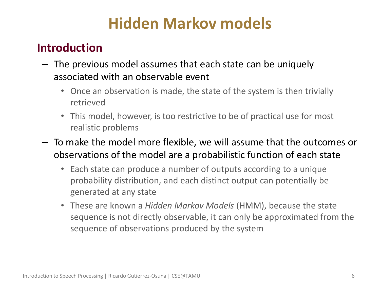# **Hidden Markov models**

# • **Introduction**

- The previous model assumes that each state can be uniquely associated with an observable event
	- Once an observation is made, the state of the system is then trivially retrieved
	- This model, however, is too restrictive to be of practical use for most realistic problems
- To make the model more flexible, we will assume that the outcomes or observations of the model are a probabilistic function of each state
	- Each state can produce a number of outputs according to a unique probability distribution, and each distinct output can potentially be generated at any state
	- These are known a *Hidden Markov Models* (HMM), because the state sequence is not directly observable, it can only be approximated from the sequence of observations produced by the system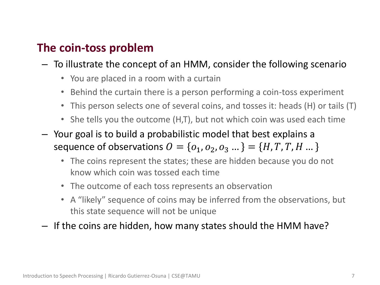## • **The coin-toss problem**

- To illustrate the concept of an HMM, consider the following scenario
	- You are placed in a room with a curtain
	- Behind the curtain there is a person performing a coin-toss experiment
	- This person selects one of several coins, and tosses it: heads (H) or tails (T)
	- She tells you the outcome (H,T), but not which coin was used each time
- Your goal is to build a probabilistic model that best explains a sequence of observations  $O = \{o_1, o_2, o_3 ...\} = \{H, T, T, H ...\}$ 
	- The coins represent the states; these are hidden because you do not know which coin was tossed each time
	- The outcome of each toss represents an observation
	- A "likely" sequence of coins may be inferred from the observations, but this state sequence will not be unique
- If the coins are hidden, how many states should the HMM have?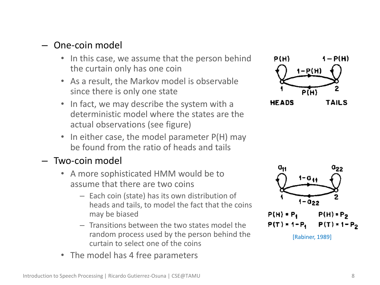#### – One-coin model

- In this case, we assume that the person behind the curtain only has one coin
- As a result, the Markov model is observable since there is only one state
- In fact, we may describe the system with a deterministic model where the states are the actual observations (see figure)
- In either case, the model parameter P(H) may be found from the ratio of heads and tails

#### – Two-coin model

- A more sophisticated HMM would be to assume that there are two coins
	- Each coin (state) has its own distribution of heads and tails, to model the fact that the coins may be biased
	- Transitions between the two states model the random process used by the person behind the curtain to select one of the coins
- The model has 4 free parameters



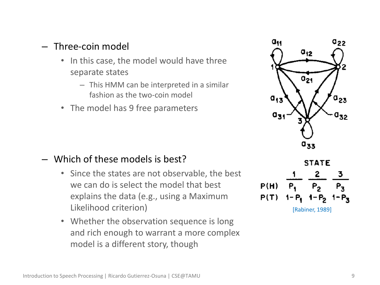#### – Three-coin model

- In this case, the model would have three separate states
	- This HMM can be interpreted in a similar fashion as the two-coin model
- The model has 9 free parameters



- Since the states are not observable, the best we can do is select the model that best explains the data (e.g., using a Maximum Likelihood criterion)
- Whether the observation sequence is long and rich enough to warrant a more complex model is a different story, though





[Rabiner, 1989]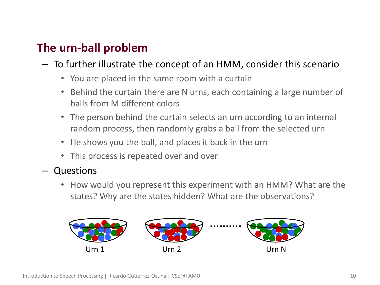# • **The urn-ball problem**

- To further illustrate the concept of an HMM, consider this scenario
	- You are placed in the same room with a curtain
	- Behind the curtain there are N urns, each containing a large number of balls from M different colors
	- The person behind the curtain selects an urn according to an internal random process, then randomly grabs a ball from the selected urn
	- He shows you the ball, and places it back in the urn
	- This process is repeated over and over
- Questions
	- How would you represent this experiment with an HMM? What are the states? Why are the states hidden? What are the observations?

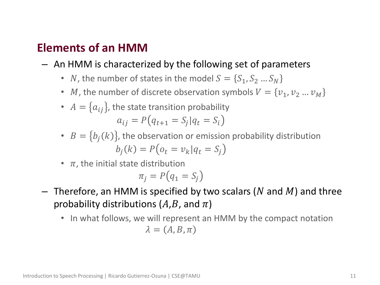### • **Elements of an HMM**

- An HMM is characterized by the following set of parameters
	- *N*, the number of states in the model  $S = \{S_1, S_2 ... S_N\}$
	- *M*, the number of discrete observation symbols  $V = \{v_1, v_2 ... v_M\}$
	- $A = \{a_{ij}\}\$ , the state transition probability  $a_{ij} = P(q_{t+1} = S_j | q_t = S_i)$
	- $B = \{b_i(k)\}\text{, the observation or emission probability distribution}$  $b_i(k) = P(o_t = v_k | q_t = S_i)$
	- $\pi$ , the initial state distribution

$$
\pi_j = P\big(q_1 = S_j\big)
$$

- $-$  Therefore, an HMM is specified by two scalars (N and M) and three probability distributions  $(A,B, \text{and } \pi)$ 
	- In what follows, we will represent an HMM by the compact notation  $\lambda = (A, B, \pi)$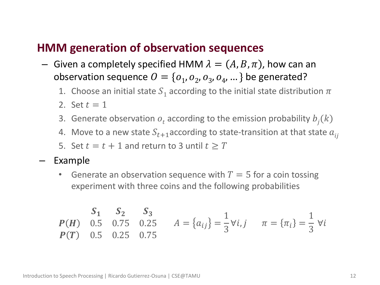#### • **HMM generation of observation sequences**

- Given a completely specified HMM  $\lambda = (A, B, \pi)$ , how can an observation sequence  $O = \{o_1, o_2, o_3, o_4, ...\}$  be generated?
	- 1. Choose an initial state  $S_1$  according to the initial state distribution  $\pi$
	- 2. Set  $t = 1$
	- 3. Generate observation  $o_t$  according to the emission probability  $b_j(k)$
	- 4. Move to a new state  $S_{t+1}$  according to state-transition at that state  $a_{ij}$
	- 5. Set  $t = t + 1$  and return to 3 until  $t \geq T$
- Example
	- Generate an observation sequence with  $T=5$  for a coin tossing experiment with three coins and the following probabilities

$$
\begin{array}{cccc}\n\mathbf{S}_1 & \mathbf{S}_2 & \mathbf{S}_3 \\
\mathbf{P}(\mathbf{H}) & 0.5 & 0.75 & 0.25 \\
\mathbf{P}(\mathbf{T}) & 0.5 & 0.25 & 0.75\n\end{array}\n\quad A = \{a_{ij}\} = \frac{1}{3} \forall i, j \quad \pi = \{\pi_i\} = \frac{1}{3} \forall i
$$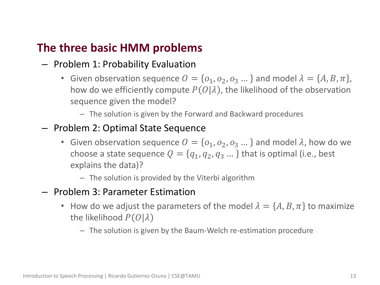## • **The three basic HMM problems**

- Problem 1: Probability Evaluation
	- Given observation sequence  $O = \{O_1, O_2, O_3, \dots\}$  and model  $\lambda = \{A, B, \pi\},\$ how do we efficiently compute  $P(O|\lambda)$ , the likelihood of the observation sequence given the model?
		- The solution is given by the Forward and Backward procedures
- Problem 2: Optimal State Sequence
	- Given observation sequence  $O = \{O_1, O_2, O_3, \dots\}$  and model  $\lambda$ , how do we choose a state sequence  $Q = \{q_1, q_2, q_3 ...\}$  that is optimal (i.e., best explains the data)?
		- The solution is provided by the Viterbi algorithm
- Problem 3: Parameter Estimation
	- How do we adjust the parameters of the model  $\lambda = \{A, B, \pi\}$  to maximize the likelihood  $P(O|\lambda)$ 
		- The solution is given by the Baum-Welch re-estimation procedure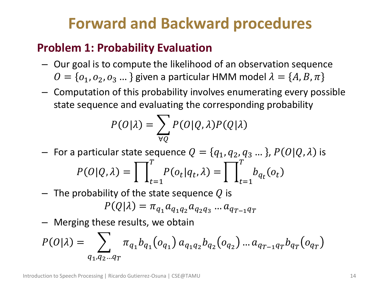# **Forward and Backward procedures**

# • **Problem 1: Probability Evaluation**

- Our goal is to compute the likelihood of an observation sequence  $O = \{O_1, O_2, O_3, \dots\}$  given a particular HMM model  $\lambda = \{A, B, \pi\}$
- Computation of this probability involves enumerating every possible state sequence and evaluating the corresponding probability

$$
P(O|\lambda) = \sum_{\forall Q} P(O|Q,\lambda) P(Q|\lambda)
$$

- For a particular state sequence  $Q = \{q_1, q_2, q_3 ... \}$ ,  $P(O|Q, \lambda)$  is  $P(O|Q, \lambda) = |$   $P(o_t|q_t, \lambda) =$  $\overline{T}$  $t=1$  $\left| \int_a^b b_{q_t}(o_t) \right|$  $\overline{T}$  $t=1$
- $-$  The probability of the state sequence Q is

$$
P(Q|\lambda) = \pi_{q_1} a_{q_1 q_2} a_{q_2 q_3} \dots a_{q_{T-1} q_T}
$$

– Merging these results, we obtain

$$
P(O|\lambda) = \sum_{q_1, q_2 \dots q_T} \pi_{q_1} b_{q_1}(o_{q_1}) a_{q_1 q_2} b_{q_2}(o_{q_2}) \dots a_{q_{T-1} q_T} b_{q_T}(o_{q_T})
$$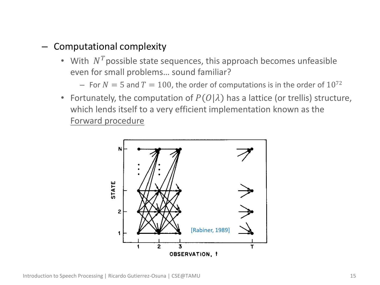#### – Computational complexity

- With  $N<sup>T</sup>$  possible state sequences, this approach becomes unfeasible even for small problems… sound familiar?
	- For  $N = 5$  and  $T = 100$ , the order of computations is in the order of  $10^{72}$
- Fortunately, the computation of  $P(O|\lambda)$  has a lattice (or trellis) structure, which lends itself to a very efficient implementation known as the Forward procedure

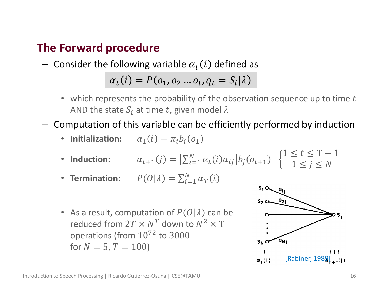## • **The Forward procedure**

 $-$  Consider the following variable  $\alpha_t(i)$  defined as

$$
\alpha_t(i) = P(o_1, o_2 \dots o_t, q_t = S_i | \lambda)
$$

- which represents the probability of the observation sequence up to time  $t$ AND the state  $S_i$  at time t, given model  $\lambda$
- Computation of this variable can be efficiently performed by induction
	- **Initialization:**  $\alpha_1(i) = \pi_i b_i(o_1)$
	- Induction:  $\alpha_{t+1}(j) = \left[\sum_{i=1}^{N} \alpha_i(i) a_{ij}\right] b_j(o_{t+1})$  $1 \leq t \leq T-1$  $1 \leq j \leq N$
	- **Termination:**  $P(O|\lambda) = \sum_{i=1}^{N} \alpha_i(i)$  $i=1$
	- As a result, computation of  $P(O|\lambda)$  can be reduced from  $2T \times N^T$  down to  $N^2 \times T$ operations (from 10<sup>72</sup> to 3000 for  $N = 5, T = 100$

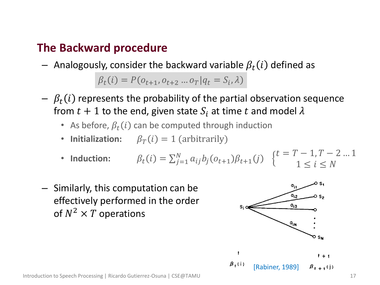### • **The Backward procedure**

 $-$  Analogously, consider the backward variable  $\beta_t(i)$  defined as

 $\beta_t(i) = P(o_{t+1}, o_{t+2} \dots o_T | q_t = S_i, \lambda)$ 

- $\beta_t(i)$  represents the probability of the partial observation sequence from  $t + 1$  to the end, given state  $S_i$  at time t and model  $\lambda$ 
	- As before,  $\beta_t(i)$  can be computed through induction
	- **Initialization:**  $\beta_T(i) = 1$  (arbitrarily)
	- **Induction:**  $i) = \sum_{j=1}^{N} a_{ij} b_j (o_{t+1}) \beta_{t+1} (j)$  $_{j=1}^{N} a_{ij} b_j (o_{t+1}) \beta_{t+1}(j)$  {  $t = T - 1, T - 2 ... 1$  $1 \leq i \leq N$
- Similarly, this computation can be effectively performed in the order of  $N^2 \times T$  operations



Introduction to Speech Processing | Ricardo Gutierrez-Osuna | CSE@TAMU 17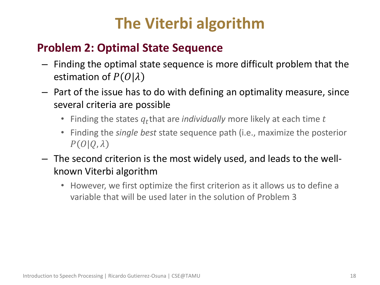# **The Viterbi algorithm**

# • **Problem 2: Optimal State Sequence**

- Finding the optimal state sequence is more difficult problem that the estimation of  $P(O|\lambda)$
- Part of the issue has to do with defining an optimality measure, since several criteria are possible
	- Finding the states  $q_t$ that are *individually* more likely at each time  $t$
	- Finding the *single best* state sequence path (i.e., maximize the posterior  $P(O|Q,\lambda)$
- The second criterion is the most widely used, and leads to the wellknown Viterbi algorithm
	- However, we first optimize the first criterion as it allows us to define a variable that will be used later in the solution of Problem 3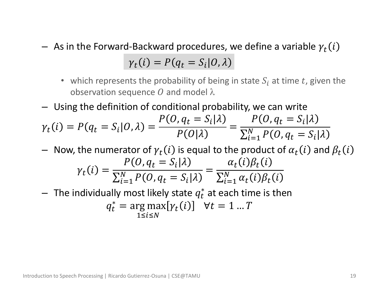- $-$  As in the Forward-Backward procedures, we define a variable  ${\gamma}_t(i)$  $\gamma_t(i) = P(q_t = S_i | 0, \lambda)$ 
	- which represents the probability of being in state  $S_i$  at time t, given the observation sequence O and model  $\lambda$
- Using the definition of conditional probability, we can write

$$
\gamma_t(i) = P(q_t = S_i | O, \lambda) = \frac{P(O, q_t = S_i | \lambda)}{P(O | \lambda)} = \frac{P(O, q_t = S_i | \lambda)}{\sum_{i=1}^{N} P(O, q_t = S_i | \lambda)}
$$

- $-$  Now, the numerator of  $\gamma_t(i)$  is equal to the product of  $\alpha_t(i)$  and  $\beta_t(i)$  $\gamma_t(i) =$  $P(O, q_t = S_i | \lambda$  $\sum_{i=1}^{N} P(O, q_t = S_i | \lambda)$  $i=1$ =  $\alpha_t(i)\beta_t(i)$  $\sum_{i=1}^{N} \alpha_t(i) \beta_t(i)$  $i=1$
- $-$  The individually most likely state  $q_t^*$  at each time is then  $q_t^* = \arg \max[\gamma_t(i)] \quad \forall t = 1 \dots T$  $1 < i < N$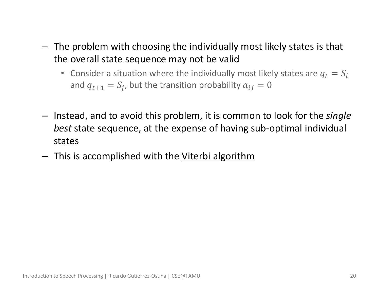- The problem with choosing the individually most likely states is that the overall state sequence may not be valid
	- Consider a situation where the individually most likely states are  $q_t = S_i$ and  $q_{t+1} = S_j$ , but the transition probability  $a_{ij} = 0$
- Instead, and to avoid this problem, it is common to look for the *single best* state sequence, at the expense of having sub-optimal individual states
- This is accomplished with the Viterbi algorithm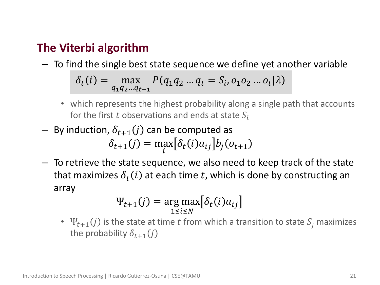### • **The Viterbi algorithm**

– To find the single best state sequence we define yet another variable

$$
\delta_t(i) = \max_{q_1 q_2 \dots q_{t-1}} P(q_1 q_2 \dots q_t = S_i, o_1 o_2 \dots o_t | \lambda)
$$

- which represents the highest probability along a single path that accounts for the first t observations and ends at state  $S_i$
- $-$  By induction,  $\delta_{t+1}(j)$  can be computed as  $\delta_{t+1}(j) = \max_i$ i  $\delta_t(i)a_{ij}$   $b_j(o_{t+1})$
- To retrieve the state sequence, we also need to keep track of the state that maximizes  $\delta_t(i)$  at each time  $t$ , which is done by constructing an array

$$
\Psi_{t+1}(j) = \underset{1 \le i \le N}{\arg \max} \big[ \delta_t(i) a_{ij} \big]
$$

•  $\Psi_{t+1}(j)$  is the state at time t from which a transition to state  $S_j$  maximizes the probability  $\delta_{t+1}(i)$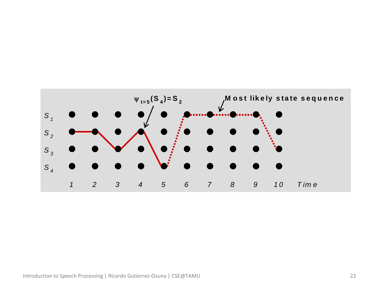